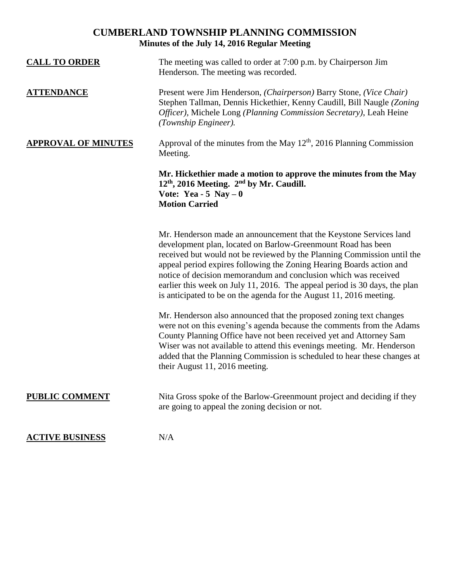## **CUMBERLAND TOWNSHIP PLANNING COMMISSION Minutes of the July 14, 2016 Regular Meeting**

| <b>CALL TO ORDER</b>       | The meeting was called to order at 7:00 p.m. by Chairperson Jim<br>Henderson. The meeting was recorded.                                                                                                                                                                                                                                                                                                                                                                                                       |
|----------------------------|---------------------------------------------------------------------------------------------------------------------------------------------------------------------------------------------------------------------------------------------------------------------------------------------------------------------------------------------------------------------------------------------------------------------------------------------------------------------------------------------------------------|
| <b>ATTENDANCE</b>          | Present were Jim Henderson, (Chairperson) Barry Stone, (Vice Chair)<br>Stephen Tallman, Dennis Hickethier, Kenny Caudill, Bill Naugle (Zoning<br>Officer), Michele Long (Planning Commission Secretary), Leah Heine<br>(Township Engineer).                                                                                                                                                                                                                                                                   |
| <b>APPROVAL OF MINUTES</b> | Approval of the minutes from the May $12th$ , 2016 Planning Commission<br>Meeting.                                                                                                                                                                                                                                                                                                                                                                                                                            |
|                            | Mr. Hickethier made a motion to approve the minutes from the May<br>$12th$ , 2016 Meeting. $2nd$ by Mr. Caudill.<br>Vote: Yea - 5 Nay $-0$<br><b>Motion Carried</b>                                                                                                                                                                                                                                                                                                                                           |
|                            | Mr. Henderson made an announcement that the Keystone Services land<br>development plan, located on Barlow-Greenmount Road has been<br>received but would not be reviewed by the Planning Commission until the<br>appeal period expires following the Zoning Hearing Boards action and<br>notice of decision memorandum and conclusion which was received<br>earlier this week on July 11, 2016. The appeal period is 30 days, the plan<br>is anticipated to be on the agenda for the August 11, 2016 meeting. |
|                            | Mr. Henderson also announced that the proposed zoning text changes<br>were not on this evening's agenda because the comments from the Adams<br>County Planning Office have not been received yet and Attorney Sam<br>Wiser was not available to attend this evenings meeting. Mr. Henderson<br>added that the Planning Commission is scheduled to hear these changes at<br>their August 11, 2016 meeting.                                                                                                     |
| <b>PUBLIC COMMENT</b>      | Nita Gross spoke of the Barlow-Greenmount project and deciding if they<br>are going to appeal the zoning decision or not.                                                                                                                                                                                                                                                                                                                                                                                     |
| <b>ACTIVE BUSINESS</b>     | N/A                                                                                                                                                                                                                                                                                                                                                                                                                                                                                                           |